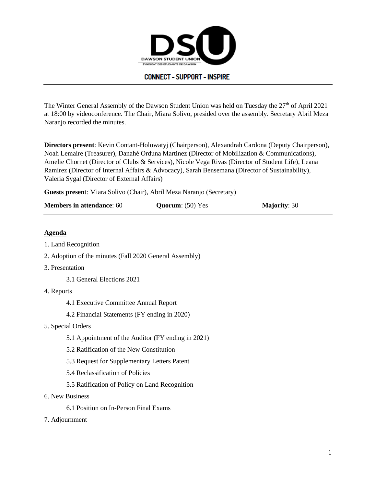

The Winter General Assembly of the Dawson Student Union was held on Tuesday the  $27<sup>th</sup>$  of April 2021 at 18:00 by videoconference. The Chair, Miara Solivo, presided over the assembly. Secretary Abril Meza Naranjo recorded the minutes.

**Directors present**: Kevin Contant-Holowatyj (Chairperson), Alexandrah Cardona (Deputy Chairperson), Noah Lemaire (Treasurer), Danahé Orduna Martinez (Director of Mobilization & Communications), Amelie Chornet (Director of Clubs & Services), Nicole Vega Rivas (Director of Student Life), Leana Ramirez (Director of Internal Affairs & Advocacy), Sarah Bensemana (Director of Sustainability), Valeria Sygal (Director of External Affairs)

**Guests presen**t: Miara Solivo (Chair), Abril Meza Naranjo (Secretary)

| <b>Members in attendance: 60</b> | <b>Quorum:</b> (50) Yes | <b>Majority: 30</b> |
|----------------------------------|-------------------------|---------------------|
|----------------------------------|-------------------------|---------------------|

## **Agenda**

- 1. Land Recognition
- 2. Adoption of the minutes (Fall 2020 General Assembly)
- 3. Presentation
	- 3.1 General Elections 2021
- 4. Reports
	- 4.1 Executive Committee Annual Report
	- 4.2 Financial Statements (FY ending in 2020)
- 5. Special Orders
	- 5.1 Appointment of the Auditor (FY ending in 2021)
	- 5.2 Ratification of the New Constitution
	- 5.3 Request for Supplementary Letters Patent
	- 5.4 Reclassification of Policies
	- 5.5 Ratification of Policy on Land Recognition
- 6. New Business
	- 6.1 Position on In-Person Final Exams
- 7. Adjournment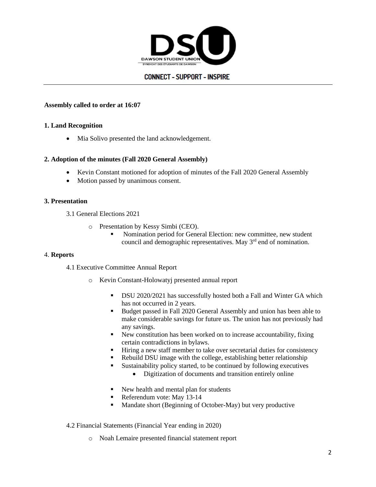

### **Assembly called to order at 16:07**

### **1. Land Recognition**

Mia Solivo presented the land acknowledgement.

### **2. Adoption of the minutes (Fall 2020 General Assembly)**

- Kevin Constant motioned for adoption of minutes of the Fall 2020 General Assembly
- Motion passed by unanimous consent.

### **3. Presentation**

- 3.1 General Elections 2021
	- o Presentation by Kessy Simbi (CEO).
		- **EXECUTE:** Nomination period for General Election: new committee, new student council and demographic representatives. May 3<sup>rd</sup> end of nomination.

#### 4. **Reports**

4.1 Executive Committee Annual Report

- o Kevin Constant-Holowatyj presented annual report
	- **•** DSU 2020/2021 has successfully hosted both a Fall and Winter GA which has not occurred in 2 years.
	- Budget passed in Fall 2020 General Assembly and union has been able to make considerable savings for future us. The union has not previously had any savings.
	- New constitution has been worked on to increase accountability, fixing certain contradictions in bylaws.
	- Hiring a new staff member to take over secretarial duties for consistency
	- Rebuild DSU image with the college, establishing better relationship
	- Sustainability policy started, to be continued by following executives
		- Digitization of documents and transition entirely online
	- New health and mental plan for students
	- Referendum vote: May 13-14
	- Mandate short (Beginning of October-May) but very productive

4.2 Financial Statements (Financial Year ending in 2020)

o Noah Lemaire presented financial statement report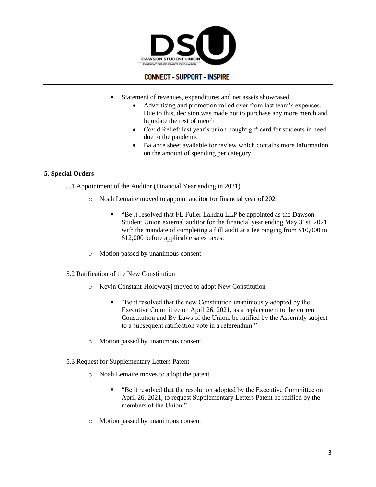

- Statement of revenues, expenditures and net assets showcased
	- Advertising and promotion rolled over from last team's expenses. Due to this, decision was made not to purchase any more merch and liquidate the rest of merch
	- Covid Relief: last year's union bought gift card for students in need due to the pandemic
	- Balance sheet available for review which contains more information on the amount of spending per category

## **5. Special Orders**

5.1 Appointment of the Auditor (Financial Year ending in 2021)

- o Noah Lemaire moved to appoint auditor for financial year of 2021
	- "Be it resolved that FL Fuller Landau LLP be appointed as the Dawson Student Union external auditor for the financial year ending May 31st, 2021 with the mandate of completing a full audit at a fee ranging from \$10,000 to \$12,000 before applicable sales taxes.
- o Motion passed by unanimous consent
- 5.2 Ratification of the New Constitution
	- o Kevin Constant-Holowatyj moved to adopt New Constitution
		- "Be it resolved that the new Constitution unanimously adopted by the Executive Committee on April 26, 2021, as a replacement to the current Constitution and By-Laws of the Union, be ratified by the Assembly subject to a subsequent ratification vote in a referendum."
	- o Motion passed by unanimous consent
- 5.3 Request for Supplementary Letters Patent
	- o Noah Lemaire moves to adopt the patent
		- "Be it resolved that the resolution adopted by the Executive Committee on April 26, 2021, to request Supplementary Letters Patent be ratified by the members of the Union."
	- o Motion passed by unanimous consent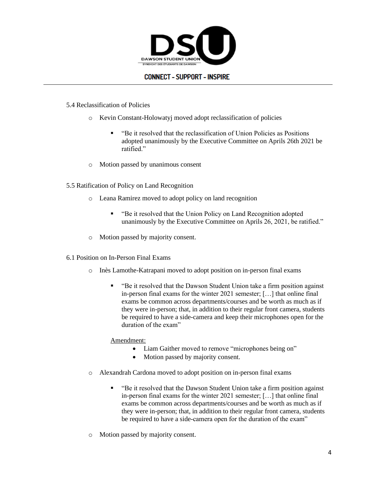

### 5.4 Reclassification of Policies

- o Kevin Constant-Holowatyj moved adopt reclassification of policies
	- "Be it resolved that the reclassification of Union Policies as Positions adopted unanimously by the Executive Committee on Aprils 26th 2021 be ratified."
- o Motion passed by unanimous consent
- 5.5 Ratification of Policy on Land Recognition
	- o Leana Ramirez moved to adopt policy on land recognition
		- "Be it resolved that the Union Policy on Land Recognition adopted unanimously by the Executive Committee on Aprils 26, 2021, be ratified."
	- o Motion passed by majority consent.
- 6.1 Position on In-Person Final Exams
	- o Inès Lamothe-Katrapani moved to adopt position on in-person final exams
		- "Be it resolved that the Dawson Student Union take a firm position against in-person final exams for the winter 2021 semester; […] that online final exams be common across departments/courses and be worth as much as if they were in-person; that, in addition to their regular front camera, students be required to have a side-camera and keep their microphones open for the duration of the exam"

## Amendment:

- Liam Gaither moved to remove "microphones being on"
- Motion passed by majority consent.
- o Alexandrah Cardona moved to adopt position on in-person final exams
	- "Be it resolved that the Dawson Student Union take a firm position against in-person final exams for the winter 2021 semester; […] that online final exams be common across departments/courses and be worth as much as if they were in-person; that, in addition to their regular front camera, students be required to have a side-camera open for the duration of the exam"
- o Motion passed by majority consent.